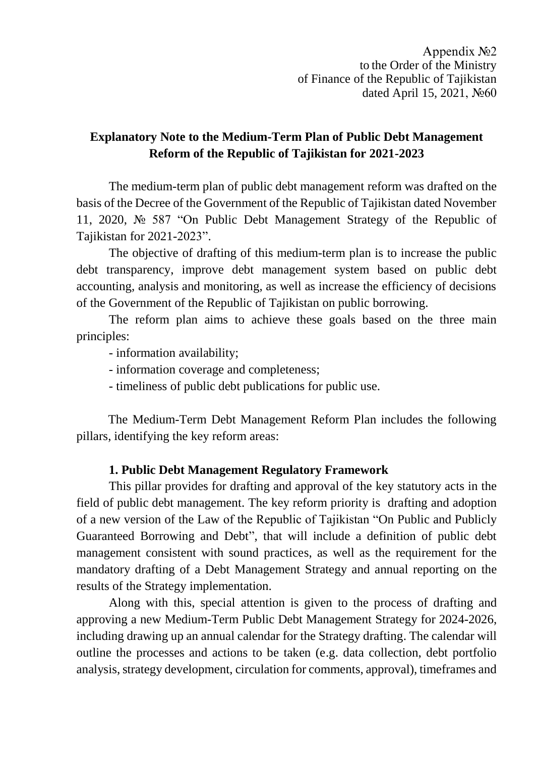# **Explanatory Note to the Medium-Term Plan of Public Debt Management Reform of the Republic of Tajikistan for 2021-2023**

The medium-term plan of public debt management reform was drafted on the basis of the Decree of the Government of the Republic of Tajikistan dated November 11, 2020, № 587 "On Public Debt Management Strategy of the Republic of Tajikistan for 2021-2023".

The objective of drafting of this medium-term plan is to increase the public debt transparency, improve debt management system based on public debt accounting, analysis and monitoring, as well as increase the efficiency of decisions of the Government of the Republic of Tajikistan on public borrowing.

The reform plan aims to achieve these goals based on the three main principles:

- information availability;
- information coverage and completeness;
- timeliness of public debt publications for public use.

The Medium-Term Debt Management Reform Plan includes the following pillars, identifying the key reform areas:

### **1. Public Debt Management Regulatory Framework**

This pillar provides for drafting and approval of the key statutory acts in the field of public debt management. The key reform priority is drafting and adoption of a new version of the Law of the Republic of Tajikistan "On Public and Publicly Guaranteed Borrowing and Debt", that will include a definition of public debt management consistent with sound practices, as well as the requirement for the mandatory drafting of a Debt Management Strategy and annual reporting on the results of the Strategy implementation.

Along with this, special attention is given to the process of drafting and approving a new Medium-Term Public Debt Management Strategy for 2024-2026, including drawing up an annual calendar for the Strategy drafting. The calendar will outline the processes and actions to be taken (e.g. data collection, debt portfolio analysis, strategy development, circulation for comments, approval), timeframes and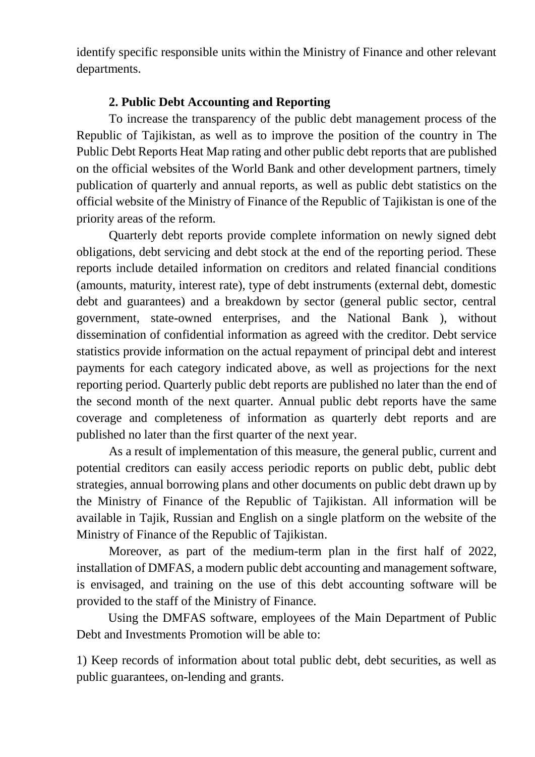identify specific responsible units within the Ministry of Finance and other relevant departments.

## **2. Public Debt Accounting and Reporting**

To increase the transparency of the public debt management process of the Republic of Tajikistan, as well as to improve the position of the country in The Public Debt Reports Heat Map rating and other public debt reports that are published on the official websites of the World Bank and other development partners, timely publication of quarterly and annual reports, as well as public debt statistics on the official website of the Ministry of Finance of the Republic of Tajikistan is one of the priority areas of the reform.

Quarterly debt reports provide complete information on newly signed debt obligations, debt servicing and debt stock at the end of the reporting period. These reports include detailed information on creditors and related financial conditions (amounts, maturity, interest rate), type of debt instruments (external debt, domestic debt and guarantees) and a breakdown by sector (general public sector, central government, state-owned enterprises, and the National Bank ), without dissemination of confidential information as agreed with the creditor. Debt service statistics provide information on the actual repayment of principal debt and interest payments for each category indicated above, as well as projections for the next reporting period. Quarterly public debt reports are published no later than the end of the second month of the next quarter. Annual public debt reports have the same coverage and completeness of information as quarterly debt reports and are published no later than the first quarter of the next year.

As a result of implementation of this measure, the general public, current and potential creditors can easily access periodic reports on public debt, public debt strategies, annual borrowing plans and other documents on public debt drawn up by the Ministry of Finance of the Republic of Tajikistan. All information will be available in Tajik, Russian and English on a single platform on the website of the Ministry of Finance of the Republic of Tajikistan.

Moreover, as part of the medium-term plan in the first half of 2022, installation of DMFAS, a modern public debt accounting and management software, is envisaged, and training on the use of this debt accounting software will be provided to the staff of the Ministry of Finance.

Using the DMFAS software, employees of the Main Department of Public Debt and Investments Promotion will be able to:

1) Keep records of information about total public debt, debt securities, as well as public guarantees, on-lending and grants.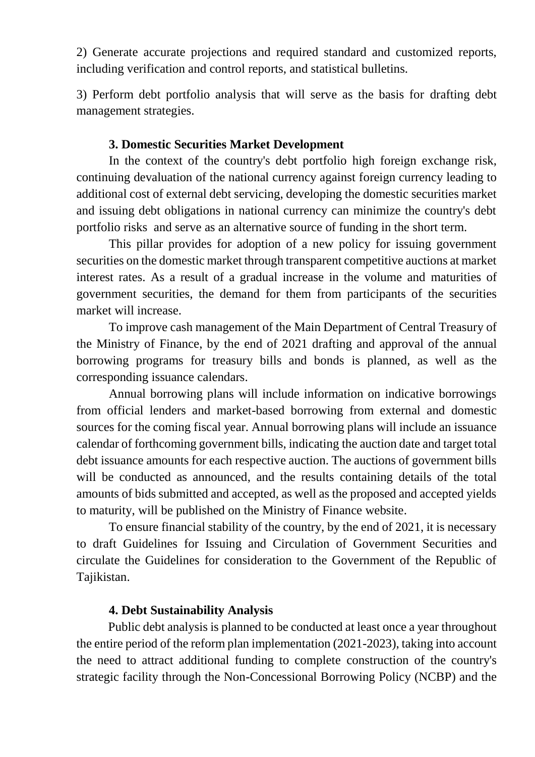2) Generate accurate projections and required standard and customized reports, including verification and control reports, and statistical bulletins.

3) Perform debt portfolio analysis that will serve as the basis for drafting debt management strategies.

### **3. Domestic Securities Market Development**

In the context of the country's debt portfolio high foreign exchange risk, continuing devaluation of the national currency against foreign currency leading to additional cost of external debt servicing, developing the domestic securities market and issuing debt obligations in national currency can minimize the country's debt portfolio risks and serve as an alternative source of funding in the short term.

This pillar provides for adoption of a new policy for issuing government securities on the domestic market through transparent competitive auctions at market interest rates. As a result of a gradual increase in the volume and maturities of government securities, the demand for them from participants of the securities market will increase.

To improve cash management of the Main Department of Central Treasury of the Ministry of Finance, by the end of 2021 drafting and approval of the annual borrowing programs for treasury bills and bonds is planned, as well as the corresponding issuance calendars.

Annual borrowing plans will include information on indicative borrowings from official lenders and market-based borrowing from external and domestic sources for the coming fiscal year. Annual borrowing plans will include an issuance calendar of forthcoming government bills, indicating the auction date and target total debt issuance amounts for each respective auction. The auctions of government bills will be conducted as announced, and the results containing details of the total amounts of bids submitted and accepted, as well as the proposed and accepted yields to maturity, will be published on the Ministry of Finance website.

To ensure financial stability of the country, by the end of 2021, it is necessary to draft Guidelines for Issuing and Circulation of Government Securities and circulate the Guidelines for consideration to the Government of the Republic of Tajikistan.

### **4. Debt Sustainability Analysis**

Public debt analysis is planned to be conducted at least once a year throughout the entire period of the reform plan implementation (2021-2023), taking into account the need to attract additional funding to complete construction of the country's strategic facility through the Non-Concessional Borrowing Policy (NCBP) and the